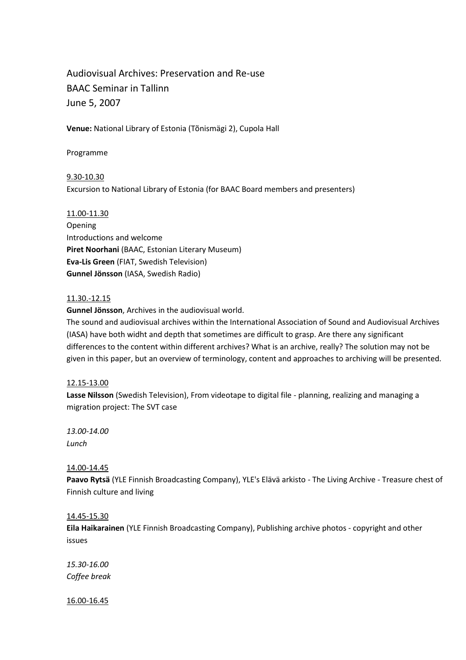# Audiovisual Archives: Preservation and Re-use BAAC Seminar in Tallinn June 5, 2007

**Venue:** National Library of Estonia (Tõnismägi 2), Cupola Hall

Programme

9.30-10.30 Excursion to National Library of Estonia (for BAAC Board members and presenters)

11.00-11.30 Opening Introductions and welcome **Piret Noorhani** (BAAC, Estonian Literary Museum) **Eva-Lis Green** (FIAT, Swedish Television) **Gunnel Jönsson** (IASA, Swedish Radio)

### 11.30.-12.15

**Gunnel Jönsson**, Archives in the audiovisual world.

The sound and audiovisual archives within the International Association of Sound and Audiovisual Archives (IASA) have both widht and depth that sometimes are difficult to grasp. Are there any significant differences to the content within different archives? What is an archive, really? The solution may not be given in this paper, but an overview of terminology, content and approaches to archiving will be presented.

### 12.15-13.00

**Lasse Nilsson** (Swedish Television), From videotape to digital file - planning, realizing and managing a migration project: The SVT case

*13.00-14.00 Lunch*

### 14.00-14.45

**Paavo Rytsä** (YLE Finnish Broadcasting Company), YLE's Elävä arkisto - The Living Archive - Treasure chest of Finnish culture and living

### 14.45-15.30

**Eila Haikarainen** (YLE Finnish Broadcasting Company), Publishing archive photos - copyright and other issues

*15.30-16.00 Coffee break*

16.00-16.45